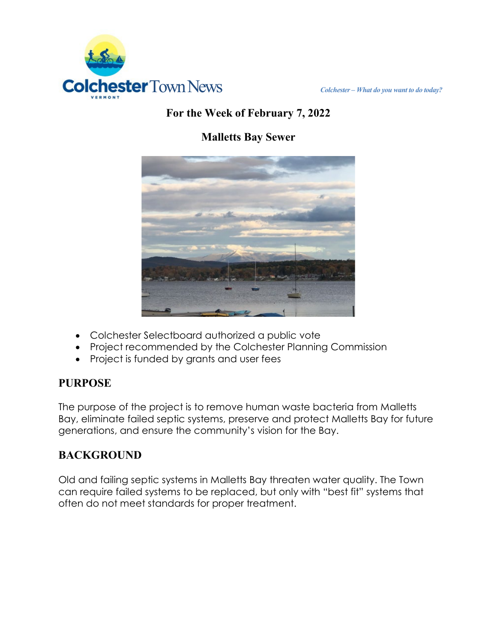

## **For the Week of February 7, 2022**

# **Malletts Bay Sewer**



- Colchester Selectboard authorized a public vote
- Project recommended by the Colchester Planning Commission
- Project is funded by grants and user fees

#### **PURPOSE**

The purpose of the project is to remove human waste bacteria from Malletts Bay, eliminate failed septic systems, preserve and protect Malletts Bay for future generations, and ensure the community's vision for the Bay.

### **BACKGROUND**

Old and failing septic systems in Malletts Bay threaten water quality. The Town can require failed systems to be replaced, but only with "best fit" systems that often do not meet standards for proper treatment.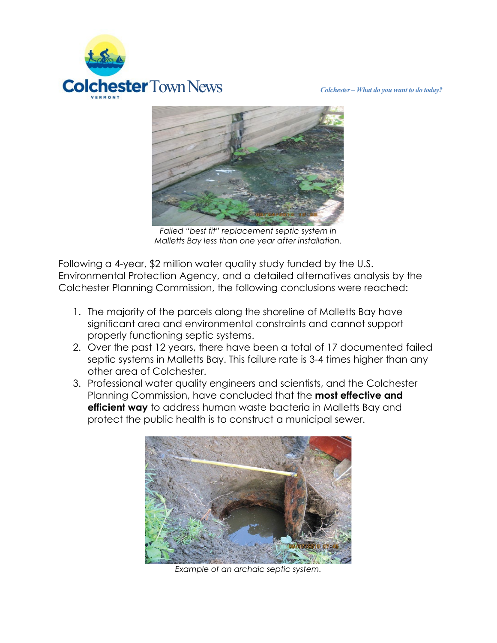



*Failed "best fit" replacement septic system in Malletts Bay less than one year after installation.*

Following a 4-year, \$2 million water quality study funded by the U.S. Environmental Protection Agency, and a detailed alternatives analysis by the Colchester Planning Commission, the following conclusions were reached:

- 1. The majority of the parcels along the shoreline of Malletts Bay have significant area and environmental constraints and cannot support properly functioning septic systems.
- 2. Over the past 12 years, there have been a total of 17 documented failed septic systems in Malletts Bay. This failure rate is 3-4 times higher than any other area of Colchester.
- 3. Professional water quality engineers and scientists, and the Colchester Planning Commission, have concluded that the **most effective and efficient way** to address human waste bacteria in Malletts Bay and protect the public health is to construct a municipal sewer.



*Example of an archaic septic system.*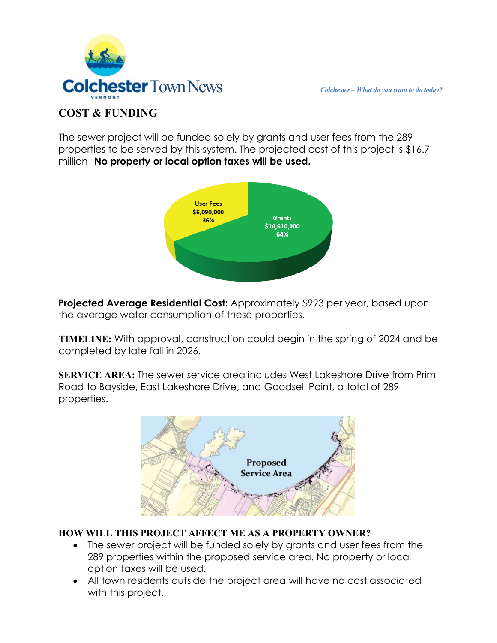



#### **COST & FUNDING**

The sewer project will be funded solely by grants and user fees from the 289 properties to be served by this system. The projected cost of this project is \$16.7 million--**No property or local option taxes will be used.**



**Projected Average Residential Cost:** Approximately \$993 per year, based upon the average water consumption of these properties.

**TIMELINE:** With approval, construction could begin in the spring of 2024 and be completed by late fall in 2026.

**SERVICE AREA:** The sewer service area includes West Lakeshore Drive from Prim Road to Bayside, East Lakeshore Drive, and Goodsell Point, a total of 289 properties.



#### **HOW WILL THIS PROJECT AFFECT ME AS A PROPERTY OWNER?**

- The sewer project will be funded solely by grants and user fees from the 289 properties within the proposed service area. No property or local option taxes will be used.
- All town residents outside the project area will have no cost associated with this project.